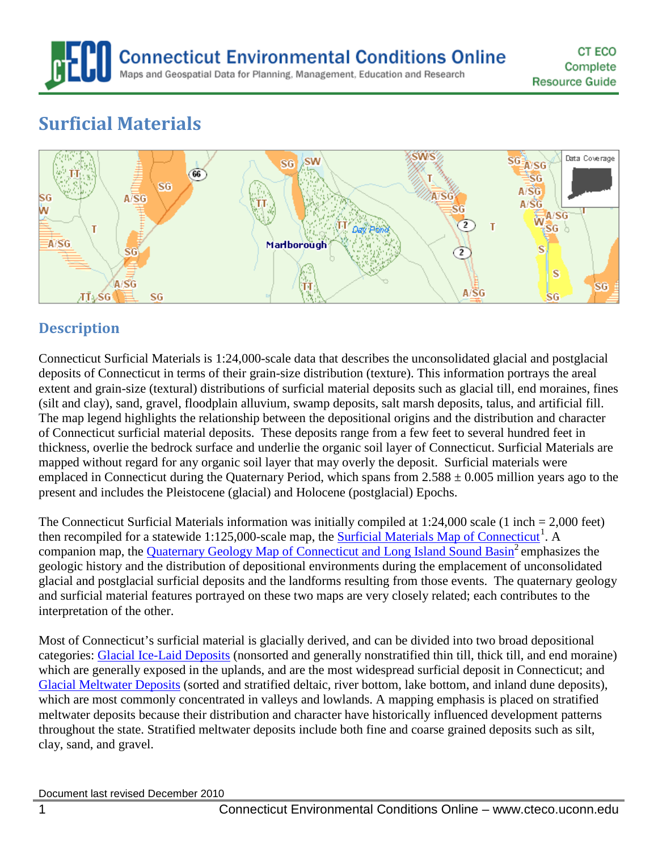

# **Surficial Materials**



## **Description**

Connecticut Surficial Materials is 1:24,000-scale data that describes the unconsolidated glacial and postglacial deposits of Connecticut in terms of their grain-size distribution (texture). This information portrays the areal extent and grain-size (textural) distributions of surficial material deposits such as glacial till, end moraines, fines (silt and clay), sand, gravel, floodplain alluvium, swamp deposits, salt marsh deposits, talus, and artificial fill. The map legend highlights the relationship between the depositional origins and the distribution and character of Connecticut surficial material deposits. These deposits range from a few feet to several hundred feet in thickness, overlie the bedrock surface and underlie the organic soil layer of Connecticut. Surficial Materials are mapped without regard for any organic soil layer that may overly the deposit. Surficial materials were emplaced in Connecticut during the Quaternary Period, which spans from  $2.588 \pm 0.005$  million years ago to the present and includes the Pleistocene (glacial) and Holocene (postglacial) Epochs.

The Connecticut Surficial Materials information was initially compiled at 1:24,000 scale (1 inch = 2,000 feet) then recompiled for a statewide [1](#page-7-0):125,000-scale map, the **Surficial Materials Map of Connecticut**<sup>1</sup>. A companion map, the [Quaternary Geology Map of Connecticut](http://cteco.uconn.edu/map_catalog/maps/state/Quaternary_Geologic_Map_of_Connecticut_and_Long_Island_Sound_Basin.pdf) and Long Island Sound Basin<sup>2</sup> emphasizes the geologic history and the distribution of depositional environments during the emplacement of unconsolidated glacial and postglacial surficial deposits and the landforms resulting from those events. The quaternary geology and surficial material features portrayed on these two maps are very closely related; each contributes to the interpretation of the other.

Most of Connecticut's surficial material is glacially derived, and can be divided into two broad depositional categories: [Glacial Ice-Laid Deposits](#page-2-0) (nonsorted and generally nonstratified thin till, thick till, and end moraine) which are generally exposed in the uplands, and are the most widespread surficial deposit in Connecticut; and [Glacial Meltwater Deposits](#page-2-1) (sorted and stratified deltaic, river bottom, lake bottom, and inland dune deposits), which are most commonly concentrated in valleys and lowlands. A mapping emphasis is placed on stratified meltwater deposits because their distribution and character have historically influenced development patterns throughout the state. Stratified meltwater deposits include both fine and coarse grained deposits such as silt, clay, sand, and gravel.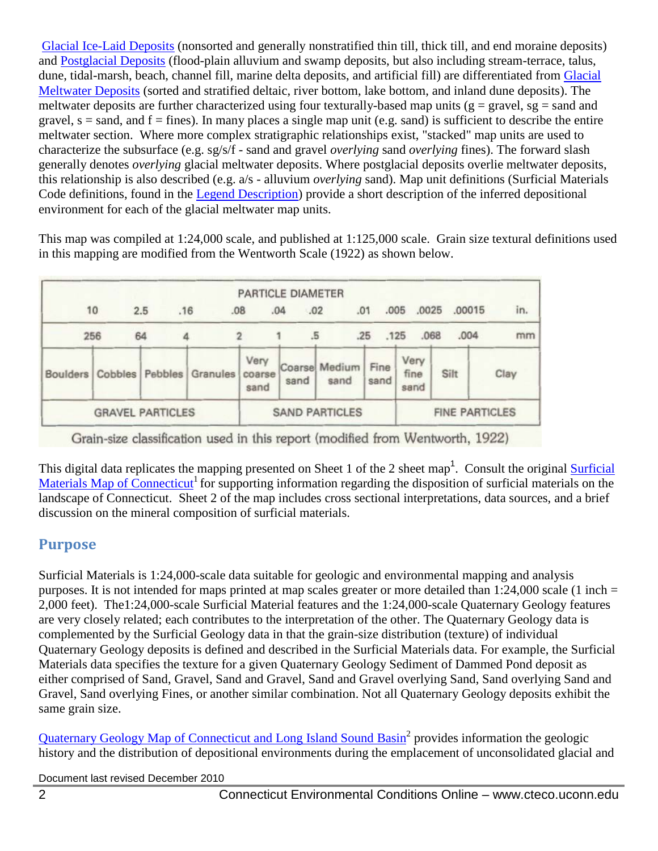[Glacial Ice-Laid Deposits](#page-2-0) (nonsorted and generally nonstratified thin till, thick till, and end moraine deposits) and [Postglacial Deposits](#page-4-0) (flood-plain alluvium and swamp deposits, but also including stream-terrace, talus, dune, tidal-marsh, beach, channel fill, marine delta deposits, and artificial fill) are differentiated from [Glacial](#page-2-1)  [Meltwater Deposits](#page-2-1) (sorted and stratified deltaic, river bottom, lake bottom, and inland dune deposits). The meltwater deposits are further characterized using four texturally-based map units ( $g = \text{gravel}$ ,  $sg = \text{rand}$  and gravel,  $s =$  sand, and  $f =$  fines). In many places a single map unit (e.g. sand) is sufficient to describe the entire meltwater section. Where more complex stratigraphic relationships exist, "stacked" map units are used to characterize the subsurface (e.g. sg/s/f - sand and gravel *overlying* sand *overlying* fines). The forward slash generally denotes *overlying* glacial meltwater deposits. Where postglacial deposits overlie meltwater deposits, this relationship is also described (e.g. a/s - alluvium *overlying* sand). Map unit definitions (Surficial Materials Code definitions, found in the [Legend Description\)](#page-2-2) provide a short description of the inferred depositional environment for each of the glacial meltwater map units.

This map was compiled at 1:24,000 scale, and published at 1:125,000 scale. Grain size textural definitions used in this mapping are modified from the Wentworth Scale (1922) as shown below.

|                         |         |            |                       | <b>PARTICLE DIAMETER</b> |            |                       |              |                      |        |      |
|-------------------------|---------|------------|-----------------------|--------------------------|------------|-----------------------|--------------|----------------------|--------|------|
|                         | 10      | .16<br>2.5 | .08                   |                          | .02<br>.04 |                       | .01          | .0025<br>.005        | .00015 | in.  |
| 256                     |         | 64         |                       |                          | .5         |                       | .25          | .068<br>.125         | .004   | mm   |
| Boulders                | Cobbles | Pebbles    | <b>Granules</b>       | Very<br>coarse<br>sand   | sand       | Coarse Medium<br>sand | Fine<br>sand | Very<br>fine<br>sand | Silt   | Clay |
| <b>GRAVEL PARTICLES</b> |         |            | <b>SAND PARTICLES</b> |                          |            | <b>FINE PARTICLES</b> |              |                      |        |      |

Grain-size classification used in this report (modified from Wentworth, 1922)

This digital data replicates the mapping presented on Sheet 1 of the 2 sheet map<sup>1</sup>. Consult the original **Surficial** [Materials Map of Connecticut](http://cteco.uconn.edu/map_catalog/maps/state/Surficial_Materials_Map_of_Connecticut.pdf)<sup>1</sup> for supporting information regarding the disposition of surficial materials on the landscape of Connecticut. Sheet 2 of the map includes cross sectional interpretations, data sources, and a brief discussion on the mineral composition of surficial materials.

#### **Purpose**

Surficial Materials is 1:24,000-scale data suitable for geologic and environmental mapping and analysis purposes. It is not intended for maps printed at map scales greater or more detailed than 1:24,000 scale (1 inch = 2,000 feet). The1:24,000-scale Surficial Material features and the 1:24,000-scale Quaternary Geology features are very closely related; each contributes to the interpretation of the other. The Quaternary Geology data is complemented by the Surficial Geology data in that the grain-size distribution (texture) of individual Quaternary Geology deposits is defined and described in the Surficial Materials data. For example, the Surficial Materials data specifies the texture for a given Quaternary Geology Sediment of Dammed Pond deposit as either comprised of Sand, Gravel, Sand and Gravel, Sand and Gravel overlying Sand, Sand overlying Sand and Gravel, Sand overlying Fines, or another similar combination. Not all Quaternary Geology deposits exhibit the same grain size.

[Quaternary Geology Map of Connecticut](http://cteco.uconn.edu/map_catalog/maps/state/Quaternary_Geologic_Map_of_Connecticut_and_Long_Island_Sound_Basin.pdf) and Long Island Sound Basin2 provides information the geologic history and the distribution of depositional environments during the emplacement of unconsolidated glacial and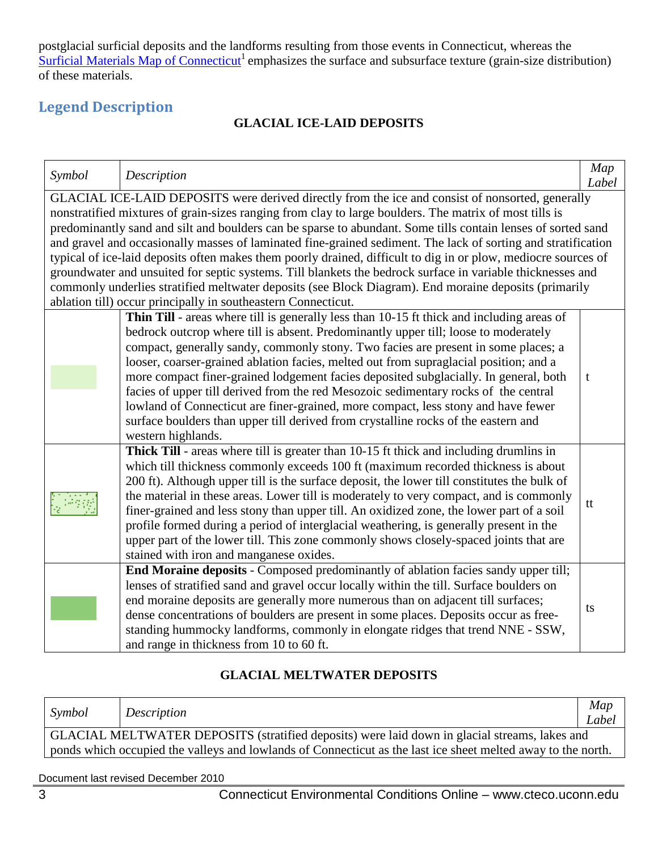postglacial surficial deposits and the landforms resulting from those events in Connecticut, whereas the [Surficial Materials Map of Connecticut](http://cteco.uconn.edu/map_catalog/maps/state/Surficial_Materials_Map_of_Connecticut.pdf)<sup>1</sup> emphasizes the surface and subsurface texture (grain-size distribution) of these materials.

# <span id="page-2-2"></span><span id="page-2-0"></span>**Legend Description**

#### **GLACIAL ICE-LAID DEPOSITS**

| Symbol | Description                                                                                                                                                                                                                                                                                                                                                                                                                                                                                                                                                                                                                                                                                                                                                                                                                                           | Map<br>Label |
|--------|-------------------------------------------------------------------------------------------------------------------------------------------------------------------------------------------------------------------------------------------------------------------------------------------------------------------------------------------------------------------------------------------------------------------------------------------------------------------------------------------------------------------------------------------------------------------------------------------------------------------------------------------------------------------------------------------------------------------------------------------------------------------------------------------------------------------------------------------------------|--------------|
|        | GLACIAL ICE-LAID DEPOSITS were derived directly from the ice and consist of nonsorted, generally<br>nonstratified mixtures of grain-sizes ranging from clay to large boulders. The matrix of most tills is<br>predominantly sand and silt and boulders can be sparse to abundant. Some tills contain lenses of sorted sand<br>and gravel and occasionally masses of laminated fine-grained sediment. The lack of sorting and stratification<br>typical of ice-laid deposits often makes them poorly drained, difficult to dig in or plow, mediocre sources of<br>groundwater and unsuited for septic systems. Till blankets the bedrock surface in variable thicknesses and<br>commonly underlies stratified meltwater deposits (see Block Diagram). End moraine deposits (primarily<br>ablation till) occur principally in southeastern Connecticut. |              |
|        | Thin Till - areas where till is generally less than 10-15 ft thick and including areas of<br>bedrock outcrop where till is absent. Predominantly upper till; loose to moderately<br>compact, generally sandy, commonly stony. Two facies are present in some places; a<br>looser, coarser-grained ablation facies, melted out from supraglacial position; and a<br>more compact finer-grained lodgement facies deposited subglacially. In general, both<br>facies of upper till derived from the red Mesozoic sedimentary rocks of the central<br>lowland of Connecticut are finer-grained, more compact, less stony and have fewer<br>surface boulders than upper till derived from crystalline rocks of the eastern and<br>western highlands.                                                                                                       | t            |
|        | <b>Thick Till</b> - areas where till is greater than 10-15 ft thick and including drumlins in<br>which till thickness commonly exceeds 100 ft (maximum recorded thickness is about<br>200 ft). Although upper till is the surface deposit, the lower till constitutes the bulk of<br>the material in these areas. Lower till is moderately to very compact, and is commonly<br>finer-grained and less stony than upper till. An oxidized zone, the lower part of a soil<br>profile formed during a period of interglacial weathering, is generally present in the<br>upper part of the lower till. This zone commonly shows closely-spaced joints that are<br>stained with iron and manganese oxides.                                                                                                                                                 | tt           |
|        | End Moraine deposits - Composed predominantly of ablation facies sandy upper till;<br>lenses of stratified sand and gravel occur locally within the till. Surface boulders on<br>end moraine deposits are generally more numerous than on adjacent till surfaces;<br>dense concentrations of boulders are present in some places. Deposits occur as free-<br>standing hummocky landforms, commonly in elongate ridges that trend NNE - SSW,<br>and range in thickness from 10 to 60 ft.                                                                                                                                                                                                                                                                                                                                                               | ts           |

#### **GLACIAL MELTWATER DEPOSITS**

<span id="page-2-1"></span>

| Symbol                                                                                                       | Description | Map<br>Label |  |  |
|--------------------------------------------------------------------------------------------------------------|-------------|--------------|--|--|
| GLACIAL MELTWATER DEPOSITS (stratified deposits) were laid down in glacial streams, lakes and                |             |              |  |  |
| ponds which occupied the valleys and lowlands of Connecticut as the last ice sheet melted away to the north. |             |              |  |  |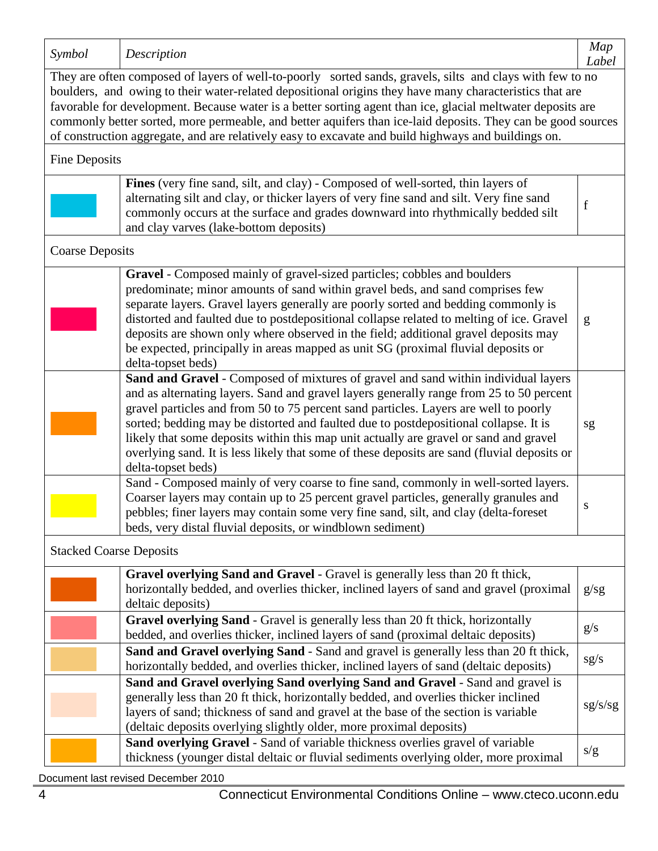| Symbol                                                                                                                                                                                                                                                                                                                                                                                                                                                                                                                                                     | Description                                                                                                                                                                                                                                                                                                                                                                                                                                                                                                                                                                 | Map<br>Label |
|------------------------------------------------------------------------------------------------------------------------------------------------------------------------------------------------------------------------------------------------------------------------------------------------------------------------------------------------------------------------------------------------------------------------------------------------------------------------------------------------------------------------------------------------------------|-----------------------------------------------------------------------------------------------------------------------------------------------------------------------------------------------------------------------------------------------------------------------------------------------------------------------------------------------------------------------------------------------------------------------------------------------------------------------------------------------------------------------------------------------------------------------------|--------------|
| They are often composed of layers of well-to-poorly sorted sands, gravels, silts and clays with few to no<br>boulders, and owing to their water-related depositional origins they have many characteristics that are<br>favorable for development. Because water is a better sorting agent than ice, glacial meltwater deposits are<br>commonly better sorted, more permeable, and better aquifers than ice-laid deposits. They can be good sources<br>of construction aggregate, and are relatively easy to excavate and build highways and buildings on. |                                                                                                                                                                                                                                                                                                                                                                                                                                                                                                                                                                             |              |
| <b>Fine Deposits</b>                                                                                                                                                                                                                                                                                                                                                                                                                                                                                                                                       |                                                                                                                                                                                                                                                                                                                                                                                                                                                                                                                                                                             |              |
|                                                                                                                                                                                                                                                                                                                                                                                                                                                                                                                                                            | Fines (very fine sand, silt, and clay) - Composed of well-sorted, thin layers of<br>alternating silt and clay, or thicker layers of very fine sand and silt. Very fine sand<br>commonly occurs at the surface and grades downward into rhythmically bedded silt<br>and clay varves (lake-bottom deposits)                                                                                                                                                                                                                                                                   | $\mathbf f$  |
| <b>Coarse Deposits</b>                                                                                                                                                                                                                                                                                                                                                                                                                                                                                                                                     |                                                                                                                                                                                                                                                                                                                                                                                                                                                                                                                                                                             |              |
|                                                                                                                                                                                                                                                                                                                                                                                                                                                                                                                                                            | Gravel - Composed mainly of gravel-sized particles; cobbles and boulders<br>predominate; minor amounts of sand within gravel beds, and sand comprises few<br>separate layers. Gravel layers generally are poorly sorted and bedding commonly is<br>distorted and faulted due to postdepositional collapse related to melting of ice. Gravel<br>deposits are shown only where observed in the field; additional gravel deposits may<br>be expected, principally in areas mapped as unit SG (proximal fluvial deposits or<br>delta-topset beds)                               | g            |
|                                                                                                                                                                                                                                                                                                                                                                                                                                                                                                                                                            | Sand and Gravel - Composed of mixtures of gravel and sand within individual layers<br>and as alternating layers. Sand and gravel layers generally range from 25 to 50 percent<br>gravel particles and from 50 to 75 percent sand particles. Layers are well to poorly<br>sorted; bedding may be distorted and faulted due to postdepositional collapse. It is<br>likely that some deposits within this map unit actually are gravel or sand and gravel<br>overlying sand. It is less likely that some of these deposits are sand (fluvial deposits or<br>delta-topset beds) | sg           |
|                                                                                                                                                                                                                                                                                                                                                                                                                                                                                                                                                            | Sand - Composed mainly of very coarse to fine sand, commonly in well-sorted layers.<br>Coarser layers may contain up to 25 percent gravel particles, generally granules and<br>pebbles; finer layers may contain some very fine sand, silt, and clay (delta-foreset<br>beds, very distal fluvial deposits, or windblown sediment)                                                                                                                                                                                                                                           | S            |
| <b>Stacked Coarse Deposits</b>                                                                                                                                                                                                                                                                                                                                                                                                                                                                                                                             |                                                                                                                                                                                                                                                                                                                                                                                                                                                                                                                                                                             |              |
|                                                                                                                                                                                                                                                                                                                                                                                                                                                                                                                                                            | Gravel overlying Sand and Gravel - Gravel is generally less than 20 ft thick,<br>horizontally bedded, and overlies thicker, inclined layers of sand and gravel (proximal<br>deltaic deposits)                                                                                                                                                                                                                                                                                                                                                                               | g/sg         |
|                                                                                                                                                                                                                                                                                                                                                                                                                                                                                                                                                            | Gravel overlying Sand - Gravel is generally less than 20 ft thick, horizontally<br>bedded, and overlies thicker, inclined layers of sand (proximal deltaic deposits)                                                                                                                                                                                                                                                                                                                                                                                                        | g/s          |
|                                                                                                                                                                                                                                                                                                                                                                                                                                                                                                                                                            | Sand and Gravel overlying Sand - Sand and gravel is generally less than 20 ft thick,<br>horizontally bedded, and overlies thicker, inclined layers of sand (deltaic deposits)                                                                                                                                                                                                                                                                                                                                                                                               | sg/s         |
|                                                                                                                                                                                                                                                                                                                                                                                                                                                                                                                                                            | Sand and Gravel overlying Sand overlying Sand and Gravel - Sand and gravel is<br>generally less than 20 ft thick, horizontally bedded, and overlies thicker inclined<br>layers of sand; thickness of sand and gravel at the base of the section is variable<br>(deltaic deposits overlying slightly older, more proximal deposits)                                                                                                                                                                                                                                          | sg/s/gg      |
|                                                                                                                                                                                                                                                                                                                                                                                                                                                                                                                                                            | Sand overlying Gravel - Sand of variable thickness overlies gravel of variable<br>thickness (younger distal deltaic or fluvial sediments overlying older, more proximal                                                                                                                                                                                                                                                                                                                                                                                                     | s/g          |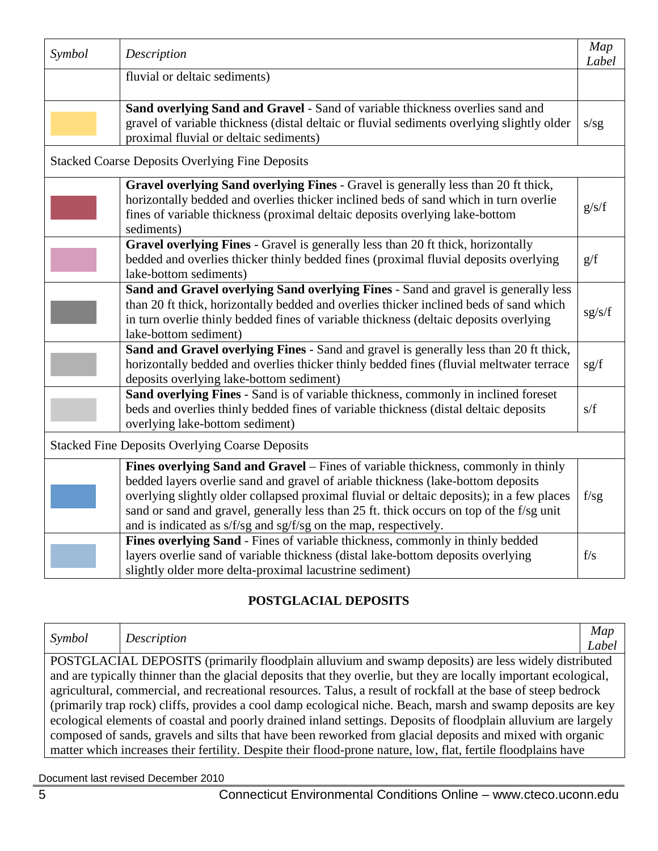| Symbol                                                 | Description                                                                                                                    | Map    |  |  |
|--------------------------------------------------------|--------------------------------------------------------------------------------------------------------------------------------|--------|--|--|
|                                                        | fluvial or deltaic sediments)                                                                                                  | Label  |  |  |
|                                                        |                                                                                                                                |        |  |  |
|                                                        | Sand overlying Sand and Gravel - Sand of variable thickness overlies sand and                                                  |        |  |  |
|                                                        | gravel of variable thickness (distal deltaic or fluvial sediments overlying slightly older                                     | s/sg   |  |  |
|                                                        | proximal fluvial or deltaic sediments)                                                                                         |        |  |  |
|                                                        | <b>Stacked Coarse Deposits Overlying Fine Deposits</b>                                                                         |        |  |  |
|                                                        | Gravel overlying Sand overlying Fines - Gravel is generally less than 20 ft thick,                                             |        |  |  |
|                                                        | horizontally bedded and overlies thicker inclined beds of sand which in turn overlie                                           |        |  |  |
|                                                        | fines of variable thickness (proximal deltaic deposits overlying lake-bottom                                                   | g/s/f  |  |  |
|                                                        | sediments)                                                                                                                     |        |  |  |
|                                                        | Gravel overlying Fines - Gravel is generally less than 20 ft thick, horizontally                                               |        |  |  |
|                                                        | bedded and overlies thicker thinly bedded fines (proximal fluvial deposits overlying                                           | g/f    |  |  |
|                                                        | lake-bottom sediments)                                                                                                         |        |  |  |
|                                                        | Sand and Gravel overlying Sand overlying Fines - Sand and gravel is generally less                                             |        |  |  |
|                                                        | than 20 ft thick, horizontally bedded and overlies thicker inclined beds of sand which                                         | sg/s/f |  |  |
|                                                        | in turn overlie thinly bedded fines of variable thickness (deltaic deposits overlying                                          |        |  |  |
|                                                        | lake-bottom sediment)                                                                                                          |        |  |  |
|                                                        | Sand and Gravel overlying Fines - Sand and gravel is generally less than 20 ft thick,                                          |        |  |  |
|                                                        | horizontally bedded and overlies thicker thinly bedded fines (fluvial meltwater terrace                                        | sg/f   |  |  |
|                                                        | deposits overlying lake-bottom sediment)<br>Sand overlying Fines - Sand is of variable thickness, commonly in inclined foreset |        |  |  |
|                                                        | beds and overlies thinly bedded fines of variable thickness (distal deltaic deposits                                           | s/f    |  |  |
|                                                        | overlying lake-bottom sediment)                                                                                                |        |  |  |
|                                                        |                                                                                                                                |        |  |  |
| <b>Stacked Fine Deposits Overlying Coarse Deposits</b> |                                                                                                                                |        |  |  |
|                                                        | Fines overlying Sand and Gravel - Fines of variable thickness, commonly in thinly                                              |        |  |  |
|                                                        | bedded layers overlie sand and gravel of ariable thickness (lake-bottom deposits                                               |        |  |  |
|                                                        | overlying slightly older collapsed proximal fluvial or deltaic deposits); in a few places                                      | f/sg   |  |  |
|                                                        | sand or sand and gravel, generally less than 25 ft. thick occurs on top of the f/sg unit                                       |        |  |  |
|                                                        | and is indicated as s/f/sg and sg/f/sg on the map, respectively.                                                               |        |  |  |
|                                                        | Fines overlying Sand - Fines of variable thickness, commonly in thinly bedded                                                  |        |  |  |
|                                                        | layers overlie sand of variable thickness (distal lake-bottom deposits overlying                                               | f/s    |  |  |
|                                                        | slightly older more delta-proximal lacustrine sediment)                                                                        |        |  |  |

## **POSTGLACIAL DEPOSITS**

<span id="page-4-0"></span>

| Symbol                                                                                                         | Description                                                                                                       | Map   |
|----------------------------------------------------------------------------------------------------------------|-------------------------------------------------------------------------------------------------------------------|-------|
|                                                                                                                |                                                                                                                   | Label |
|                                                                                                                | POSTGLACIAL DEPOSITS (primarily floodplain alluvium and swamp deposits) are less widely distributed               |       |
|                                                                                                                | and are typically thinner than the glacial deposits that they overlie, but they are locally important ecological, |       |
|                                                                                                                | agricultural, commercial, and recreational resources. Talus, a result of rockfall at the base of steep bedrock    |       |
|                                                                                                                | (primarily trap rock) cliffs, provides a cool damp ecological niche. Beach, marsh and swamp deposits are key      |       |
| ecological elements of coastal and poorly drained inland settings. Deposits of floodplain alluvium are largely |                                                                                                                   |       |
|                                                                                                                | composed of sands, gravels and silts that have been reworked from glacial deposits and mixed with organic         |       |
|                                                                                                                | matter which increases their fertility. Despite their flood-prone nature, low, flat, fertile floodplains have     |       |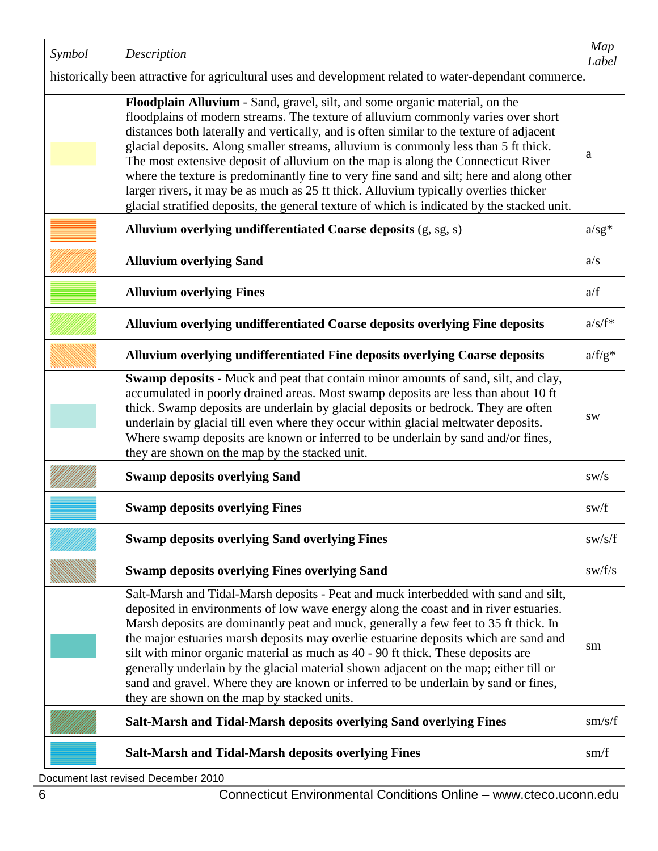| Symbol                                                                                                  | Description                                                                                                                                                                                                                                                                                                                                                                                                                                                                                                                                                                                                                                                                                                                | Map<br>Label    |  |  |
|---------------------------------------------------------------------------------------------------------|----------------------------------------------------------------------------------------------------------------------------------------------------------------------------------------------------------------------------------------------------------------------------------------------------------------------------------------------------------------------------------------------------------------------------------------------------------------------------------------------------------------------------------------------------------------------------------------------------------------------------------------------------------------------------------------------------------------------------|-----------------|--|--|
| historically been attractive for agricultural uses and development related to water-dependant commerce. |                                                                                                                                                                                                                                                                                                                                                                                                                                                                                                                                                                                                                                                                                                                            |                 |  |  |
|                                                                                                         | Floodplain Alluvium - Sand, gravel, silt, and some organic material, on the<br>floodplains of modern streams. The texture of alluvium commonly varies over short<br>distances both laterally and vertically, and is often similar to the texture of adjacent<br>glacial deposits. Along smaller streams, alluvium is commonly less than 5 ft thick.<br>The most extensive deposit of alluvium on the map is along the Connecticut River<br>where the texture is predominantly fine to very fine sand and silt; here and along other<br>larger rivers, it may be as much as 25 ft thick. Alluvium typically overlies thicker<br>glacial stratified deposits, the general texture of which is indicated by the stacked unit. | a               |  |  |
|                                                                                                         | Alluvium overlying undifferentiated Coarse deposits (g, sg, s)                                                                                                                                                                                                                                                                                                                                                                                                                                                                                                                                                                                                                                                             | $a/sg^*$        |  |  |
|                                                                                                         | <b>Alluvium overlying Sand</b>                                                                                                                                                                                                                                                                                                                                                                                                                                                                                                                                                                                                                                                                                             | a/s             |  |  |
|                                                                                                         | <b>Alluvium overlying Fines</b>                                                                                                                                                                                                                                                                                                                                                                                                                                                                                                                                                                                                                                                                                            | a/f             |  |  |
|                                                                                                         | Alluvium overlying undifferentiated Coarse deposits overlying Fine deposits                                                                                                                                                                                                                                                                                                                                                                                                                                                                                                                                                                                                                                                | $a/s/f^*$       |  |  |
|                                                                                                         | Alluvium overlying undifferentiated Fine deposits overlying Coarse deposits                                                                                                                                                                                                                                                                                                                                                                                                                                                                                                                                                                                                                                                | $a/f/g^*$       |  |  |
|                                                                                                         | Swamp deposits - Muck and peat that contain minor amounts of sand, silt, and clay,<br>accumulated in poorly drained areas. Most swamp deposits are less than about 10 ft<br>thick. Swamp deposits are underlain by glacial deposits or bedrock. They are often<br>underlain by glacial till even where they occur within glacial meltwater deposits.<br>Where swamp deposits are known or inferred to be underlain by sand and/or fines,<br>they are shown on the map by the stacked unit.                                                                                                                                                                                                                                 | SW              |  |  |
|                                                                                                         | <b>Swamp deposits overlying Sand</b>                                                                                                                                                                                                                                                                                                                                                                                                                                                                                                                                                                                                                                                                                       | sw/s            |  |  |
|                                                                                                         | <b>Swamp deposits overlying Fines</b>                                                                                                                                                                                                                                                                                                                                                                                                                                                                                                                                                                                                                                                                                      | sw/f            |  |  |
|                                                                                                         | <b>Swamp deposits overlying Sand overlying Fines</b>                                                                                                                                                                                                                                                                                                                                                                                                                                                                                                                                                                                                                                                                       | sw/s/f          |  |  |
|                                                                                                         | <b>Swamp deposits overlying Fines overlying Sand</b>                                                                                                                                                                                                                                                                                                                                                                                                                                                                                                                                                                                                                                                                       | sw/f/s          |  |  |
|                                                                                                         | Salt-Marsh and Tidal-Marsh deposits - Peat and muck interbedded with sand and silt,<br>deposited in environments of low wave energy along the coast and in river estuaries.<br>Marsh deposits are dominantly peat and muck, generally a few feet to 35 ft thick. In<br>the major estuaries marsh deposits may overlie estuarine deposits which are sand and<br>silt with minor organic material as much as 40 - 90 ft thick. These deposits are<br>generally underlain by the glacial material shown adjacent on the map; either till or<br>sand and gravel. Where they are known or inferred to be underlain by sand or fines,<br>they are shown on the map by stacked units.                                             | sm              |  |  |
|                                                                                                         | Salt-Marsh and Tidal-Marsh deposits overlying Sand overlying Fines                                                                                                                                                                                                                                                                                                                                                                                                                                                                                                                                                                                                                                                         | $\text{sm/s/f}$ |  |  |
|                                                                                                         | <b>Salt-Marsh and Tidal-Marsh deposits overlying Fines</b>                                                                                                                                                                                                                                                                                                                                                                                                                                                                                                                                                                                                                                                                 | sm/f            |  |  |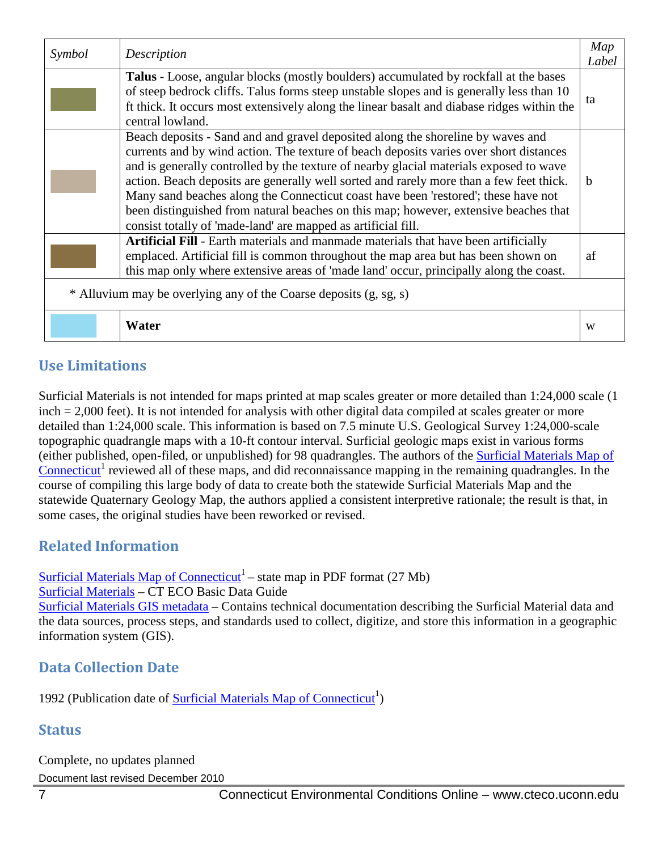| Symbol                                                            | Description                                                                                | Map   |  |  |
|-------------------------------------------------------------------|--------------------------------------------------------------------------------------------|-------|--|--|
|                                                                   |                                                                                            | Label |  |  |
|                                                                   | Talus - Loose, angular blocks (mostly boulders) accumulated by rockfall at the bases       |       |  |  |
|                                                                   | of steep bedrock cliffs. Talus forms steep unstable slopes and is generally less than 10   | ta    |  |  |
|                                                                   | ft thick. It occurs most extensively along the linear basalt and diabase ridges within the |       |  |  |
|                                                                   | central lowland.                                                                           |       |  |  |
|                                                                   | Beach deposits - Sand and and gravel deposited along the shoreline by waves and            |       |  |  |
|                                                                   | currents and by wind action. The texture of beach deposits varies over short distances     |       |  |  |
|                                                                   | and is generally controlled by the texture of nearby glacial materials exposed to wave     |       |  |  |
|                                                                   | action. Beach deposits are generally well sorted and rarely more than a few feet thick.    | b     |  |  |
|                                                                   | Many sand beaches along the Connecticut coast have been 'restored'; these have not         |       |  |  |
|                                                                   | been distinguished from natural beaches on this map; however, extensive beaches that       |       |  |  |
|                                                                   | consist totally of 'made-land' are mapped as artificial fill.                              |       |  |  |
|                                                                   | Artificial Fill - Earth materials and manmade materials that have been artificially        |       |  |  |
|                                                                   | emplaced. Artificial fill is common throughout the map area but has been shown on          | af    |  |  |
|                                                                   | this map only where extensive areas of 'made land' occur, principally along the coast.     |       |  |  |
|                                                                   |                                                                                            |       |  |  |
| * Alluvium may be overlying any of the Coarse deposits (g, sg, s) |                                                                                            |       |  |  |
|                                                                   |                                                                                            |       |  |  |
|                                                                   | Water                                                                                      | W     |  |  |

## **Use Limitations**

Surficial Materials is not intended for maps printed at map scales greater or more detailed than 1:24,000 scale (1 inch = 2,000 feet). It is not intended for analysis with other digital data compiled at scales greater or more detailed than 1:24,000 scale. This information is based on 7.5 minute U.S. Geological Survey 1:24,000-scale topographic quadrangle maps with a 10-ft contour interval. Surficial geologic maps exist in various forms (either published, open-filed, or unpublished) for 98 quadrangles. The authors of the [Surficial Materials Map of](http://cteco.uconn.edu/map_catalog/maps/state/Surficial_Materials_Map_of_Connecticut.pdf)  [Connecticut](http://cteco.uconn.edu/map_catalog/maps/state/Surficial_Materials_Map_of_Connecticut.pdf)<sup>1</sup> reviewed all of these maps, and did reconnaissance mapping in the remaining quadrangles. In the course of compiling this large body of data to create both the statewide Surficial Materials Map and the statewide Quaternary Geology Map, the authors applied a consistent interpretive rationale; the result is that, in some cases, the original studies have been reworked or revised.

## **Related Information**

[Surficial Materials Map of Connecticut](http://cteco.uconn.edu/map_catalog/maps/state/Surficial_Materials_Map_of_Connecticut.pdf)<sup>1</sup> – state map in PDF format (27 Mb)

[Surficial Materials](http://www.cteco.uconn.edu/guides/Surficial_Material.htm) – CT ECO Basic Data Guide

[Surficial Materials GIS metadata](http://www.cteco.uconn.edu/metadata/dep/document/SURFICIAL_MATERIAL_POLY_FGDC_Plus.htm) – Contains technical documentation describing the Surficial Material data and the data sources, process steps, and standards used to collect, digitize, and store this information in a geographic information system (GIS).

# **Data Collection Date**

1992 (Publication date of **Surficial Materials Map of Connecticut**<sup>1</sup>)

#### **Status**

Document last revised December 2010 Complete, no updates planned